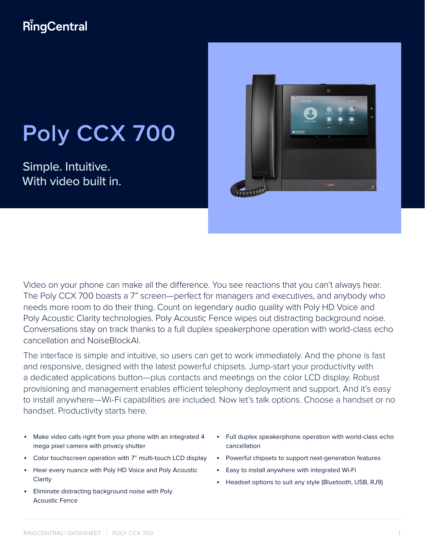# **RingCentral**

# **Poly CCX 700**

Simple. Intuitive. With video built in.



Video on your phone can make all the difference. You see reactions that you can't always hear. The Poly CCX 700 boasts a 7" screen—perfect for managers and executives, and anybody who needs more room to do their thing. Count on legendary audio quality with Poly HD Voice and Poly Acoustic Clarity technologies. Poly Acoustic Fence wipes out distracting background noise. Conversations stay on track thanks to a full duplex speakerphone operation with world-class echo cancellation and NoiseBlockAI.

The interface is simple and intuitive, so users can get to work immediately. And the phone is fast and responsive, designed with the latest powerful chipsets. Jump-start your productivity with a dedicated applications button—plus contacts and meetings on the color LCD display. Robust provisioning and management enables efficient telephony deployment and support. And it's easy to install anywhere—Wi-Fi capabilities are included. Now let's talk options. Choose a handset or no handset. Productivity starts here.

- Make video calls right from your phone with an integrated 4 mega pixel camera with privacy shutter
- Color touchscreen operation with 7" multi-touch LCD display
- Hear every nuance with Poly HD Voice and Poly Acoustic Clarity
- Eliminate distracting background noise with Poly Acoustic Fence
- Full duplex speakerphone operation with world-class echo cancellation
- Powerful chipsets to support next-generation features
- Easy to install anywhere with integrated Wi-Fi
- Headset options to suit any style (Bluetooth, USB, RJ9)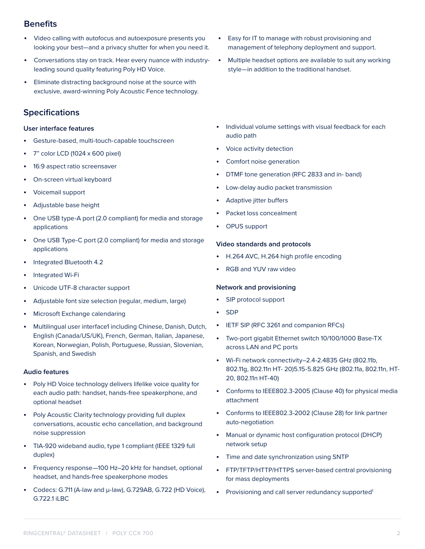## **Benefits**

- Video calling with autofocus and autoexposure presents you looking your best—and a privacy shutter for when you need it.
- Conversations stay on track. Hear every nuance with industryleading sound quality featuring Poly HD Voice.
- Eliminate distracting background noise at the source with exclusive, award-winning Poly Acoustic Fence technology.

## **Specifications**

#### **User interface features**

- Gesture-based, multi-touch-capable touchscreen
- 7" color LCD (1024 x 600 pixel)
- 16:9 aspect ratio screensaver
- On-screen virtual keyboard
- Voicemail support
- Adjustable base height
- One USB type-A port (2.0 compliant) for media and storage applications
- One USB Type-C port (2.0 compliant) for media and storage applications
- Integrated Bluetooth 4.2
- Integrated Wi-Fi
- Unicode UTF-8 character support
- Adjustable font size selection (regular, medium, large)
- Microsoft Exchange calendaring
- Multilingual user interface1 including Chinese, Danish, Dutch, English (Canada/US/UK), French, German, Italian, Japanese, Korean, Norwegian, Polish, Portuguese, Russian, Slovenian, Spanish, and Swedish

#### **Audio features**

- Poly HD Voice technology delivers lifelike voice quality for each audio path: handset, hands-free speakerphone, and optional headset
- Poly Acoustic Clarity technology providing full duplex conversations, acoustic echo cancellation, and background noise suppression
- TIA-920 wideband audio, type 1 compliant (IEEE 1329 full duplex)
- Frequency response—100 Hz–20 kHz for handset, optional headset, and hands-free speakerphone modes
- Codecs: G.711 (A-law and μ-law), G.729AB, G.722 (HD Voice), G.722.1 iLBC
- Easy for IT to manage with robust provisioning and management of telephony deployment and support.
- Multiple headset options are available to suit any working style—in addition to the traditional handset.
- Individual volume settings with visual feedback for each audio path
- Voice activity detection
- Comfort noise generation
- DTMF tone generation (RFC 2833 and in- band)
- Low-delay audio packet transmission
- Adaptive jitter buffers
- Packet loss concealment
- OPUS support

#### **Video standards and protocols**

- H.264 AVC, H.264 high profile encoding
- RGB and YUV raw video

#### **Network and provisioning**

- SIP protocol support
- SDP
- IETF SIP (RFC 3261 and companion RFCs)
- Two-port gigabit Ethernet switch 10/100/1000 Base-TX across LAN and PC ports
- Wi-Fi network connectivity–2.4-2.4835 GHz (802.11b, 802.11g, 802.11n HT- 20)5.15-5.825 GHz (802.11a, 802.11n, HT-20, 802.11n HT-40)
- Conforms to IEEE802.3-2005 (Clause 40) for physical media attachment
- Conforms to IEEE802.3-2002 (Clause 28) for link partner auto-negotiation
- Manual or dynamic host configuration protocol (DHCP) network setup
- Time and date synchronization using SNTP
- FTP/TFTP/HTTP/HTTPS server-based central provisioning for mass deployments
- Provisioning and call server redundancy supported<sup>1</sup>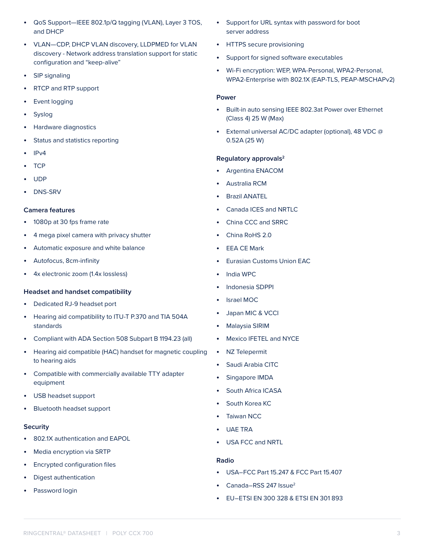- QoS Support—IEEE 802.1p/Q tagging (VLAN), Layer 3 TOS, and DHCP
- VLAN—CDP, DHCP VLAN discovery, LLDPMED for VLAN discovery - Network address translation support for static configuration and "keep-alive"
- SIP signaling
- RTCP and RTP support
- Event logging
- **Syslog**
- Hardware diagnostics
- Status and statistics reporting
- IPv4
- TCP
- UDP
- DNS-SRV

### **Camera features**

- 1080p at 30 fps frame rate
- 4 mega pixel camera with privacy shutter
- Automatic exposure and white balance
- Autofocus, 8cm-infinity
- 4x electronic zoom (1.4x lossless)

#### **Headset and handset compatibility**

- Dedicated RJ-9 headset port
- Hearing aid compatibility to ITU-T P.370 and TIA 504A standards
- Compliant with ADA Section 508 Subpart B 1194.23 (all)
- Hearing aid compatible (HAC) handset for magnetic coupling to hearing aids
- Compatible with commercially available TTY adapter equipment
- USB headset support
- Bluetooth headset support

#### **Security**

- 802.1X authentication and EAPOL
- Media encryption via SRTP
- Encrypted configuration files
- Digest authentication
- Password login
- Support for URL syntax with password for boot server address
- HTTPS secure provisioning
- Support for signed software executables
- Wi-Fi encryption: WEP, WPA-Personal, WPA2-Personal, WPA2-Enterprise with 802.1X (EAP-TLS, PEAP-MSCHAPv2)

#### **Power**

- Built-in auto sensing IEEE 802.3at Power over Ethernet (Class 4) 25 W (Max)
- External universal AC/DC adapter (optional), 48 VDC @ 0.52A (25 W)

#### **Regulatory approvals2**

- Argentina ENACOM
- Australia RCM
- Brazil ANATEL
- Canada ICES and NRTLC
- China CCC and SRRC
- China RoHS 2.0
- **EEA CE Mark**
- Eurasian Customs Union EAC
- India WPC
- Indonesia SDPPI
- Israel MOC
- Japan MIC & VCCI
- Malaysia SIRIM
- Mexico IFETEL and NYCE
- NZ Telepermit
- Saudi Arabia CITC
- Singapore IMDA
- South Africa ICASA
- South Korea KC
- **Taiwan NCC**
- UAE TRA
- USA FCC and NRTL

#### **Radio**

- USA–FCC Part 15.247 & FCC Part 15.407
- Canada–RSS 247 Issue2
- EU–ETSI EN 300 328 & ETSI EN 301 893